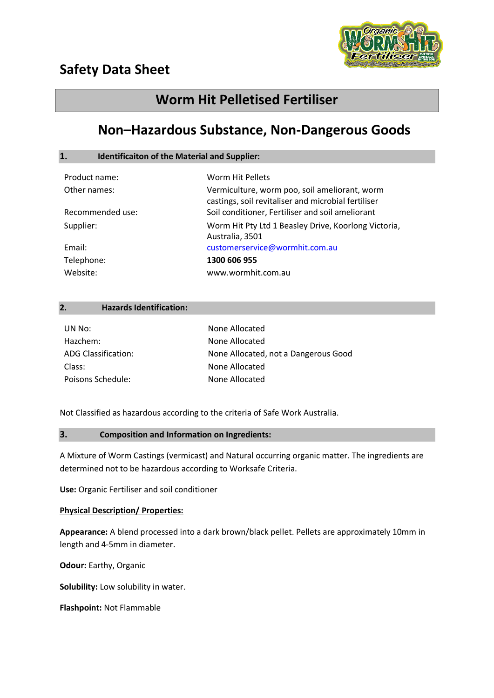

# **Safety Data Sheet**

# **Worm Hit Pelletised Fertiliser**

# **Non–Hazardous Substance, Non-Dangerous Goods**

# **1. Identificaiton of the Material and Supplier:**

| Product name:    | Worm Hit Pellets                                                                                     |
|------------------|------------------------------------------------------------------------------------------------------|
| Other names:     | Vermiculture, worm poo, soil ameliorant, worm<br>castings, soil revitaliser and microbial fertiliser |
| Recommended use: | Soil conditioner, Fertiliser and soil ameliorant                                                     |
| Supplier:        | Worm Hit Pty Ltd 1 Beasley Drive, Koorlong Victoria,<br>Australia, 3501                              |
| Email:           | customerservice@wormhit.com.au                                                                       |
| Telephone:       | 1300 606 955                                                                                         |
| Website:         | www.wormhit.com.au                                                                                   |

## **2. Hazards Identification:**

| UN No:              | None Allocated                       |
|---------------------|--------------------------------------|
| Hazchem:            | None Allocated                       |
| ADG Classification: | None Allocated, not a Dangerous Good |
| Class:              | None Allocated                       |
| Poisons Schedule:   | None Allocated                       |

Not Classified as hazardous according to the criteria of Safe Work Australia.

## **3. Composition and Information on Ingredients:**

A Mixture of Worm Castings (vermicast) and Natural occurring organic matter. The ingredients are determined not to be hazardous according to Worksafe Criteria.

**Use:** Organic Fertiliser and soil conditioner

## **Physical Description/ Properties:**

**Appearance:** A blend processed into a dark brown/black pellet. Pellets are approximately 10mm in length and 4-5mm in diameter.

**Odour:** Earthy, Organic

**Solubility:** Low solubility in water.

**Flashpoint:** Not Flammable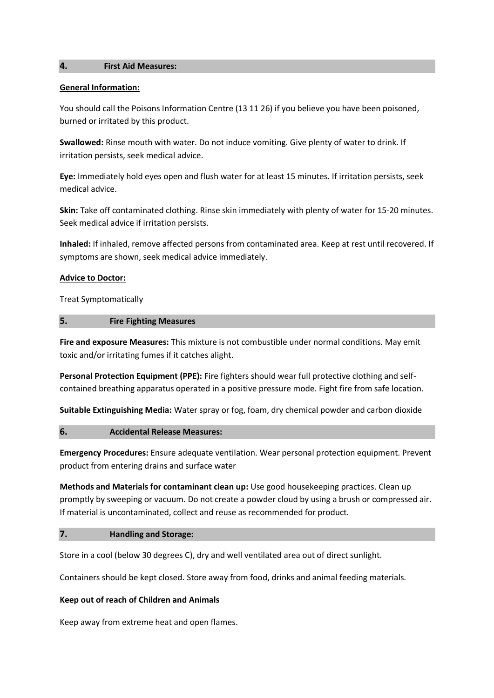#### **4. First Aid Measures:**

#### **General Information:**

You should call the Poisons Information Centre (13 11 26) if you believe you have been poisoned, burned or irritated by this product.

**Swallowed:** Rinse mouth with water. Do not induce vomiting. Give plenty of water to drink. If irritation persists, seek medical advice.

**Eye:** Immediately hold eyes open and flush water for at least 15 minutes. If irritation persists, seek medical advice.

**Skin:** Take off contaminated clothing. Rinse skin immediately with plenty of water for 15-20 minutes. Seek medical advice if irritation persists.

**Inhaled:** If inhaled, remove affected persons from contaminated area. Keep at rest until recovered. If symptoms are shown, seek medical advice immediately.

#### **Advice to Doctor:**

Treat Symptomatically

#### **5. Fire Fighting Measures**

**Fire and exposure Measures:** This mixture is not combustible under normal conditions. May emit toxic and/or irritating fumes if it catches alight.

**Personal Protection Equipment (PPE):** Fire fighters should wear full protective clothing and selfcontained breathing apparatus operated in a positive pressure mode. Fight fire from safe location.

**Suitable Extinguishing Media:** Water spray or fog, foam, dry chemical powder and carbon dioxide

## **6. Accidental Release Measures:**

**Emergency Procedures:** Ensure adequate ventilation. Wear personal protection equipment. Prevent product from entering drains and surface water

**Methods and Materials for contaminant clean up:** Use good housekeeping practices. Clean up promptly by sweeping or vacuum. Do not create a powder cloud by using a brush or compressed air. If material is uncontaminated, collect and reuse as recommended for product.

## **7. Handling and Storage:**

Store in a cool (below 30 degrees C), dry and well ventilated area out of direct sunlight.

Containers should be kept closed. Store away from food, drinks and animal feeding materials.

## **Keep out of reach of Children and Animals**

Keep away from extreme heat and open flames.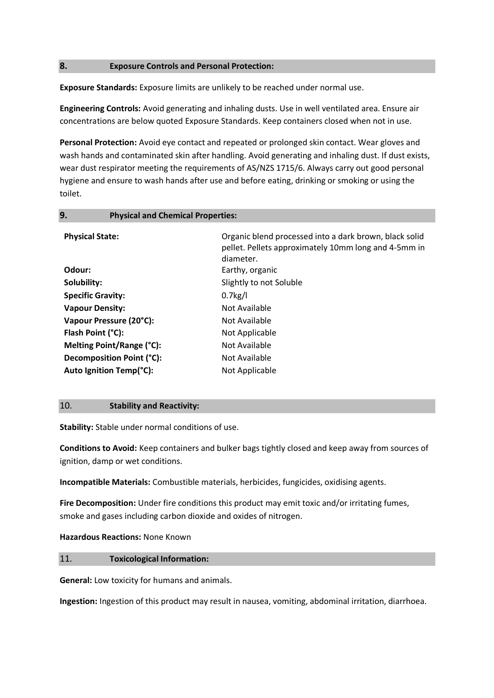## **8. Exposure Controls and Personal Protection:**

**Exposure Standards:** Exposure limits are unlikely to be reached under normal use.

**Engineering Controls:** Avoid generating and inhaling dusts. Use in well ventilated area. Ensure air concentrations are below quoted Exposure Standards. Keep containers closed when not in use.

**Personal Protection:** Avoid eye contact and repeated or prolonged skin contact. Wear gloves and wash hands and contaminated skin after handling. Avoid generating and inhaling dust. If dust exists, wear dust respirator meeting the requirements of AS/NZS 1715/6. Always carry out good personal hygiene and ensure to wash hands after use and before eating, drinking or smoking or using the toilet.

| 9.                       | <b>Physical and Chemical Properties:</b> |                                                                                                                             |
|--------------------------|------------------------------------------|-----------------------------------------------------------------------------------------------------------------------------|
| <b>Physical State:</b>   |                                          | Organic blend processed into a dark brown, black solid<br>pellet. Pellets approximately 10mm long and 4-5mm in<br>diameter. |
| Odour:                   |                                          | Earthy, organic                                                                                                             |
| Solubility:              |                                          | Slightly to not Soluble                                                                                                     |
| <b>Specific Gravity:</b> |                                          | $0.7$ kg/l                                                                                                                  |
| <b>Vapour Density:</b>   |                                          | Not Available                                                                                                               |
|                          | Vapour Pressure (20°C):                  | Not Available                                                                                                               |
| Flash Point (°C):        |                                          | Not Applicable                                                                                                              |
|                          | Melting Point/Range (°C):                | Not Available                                                                                                               |
|                          | Decomposition Point (°C):                | Not Available                                                                                                               |
|                          | Auto Ignition Temp(°C):                  | Not Applicable                                                                                                              |
|                          |                                          |                                                                                                                             |

#### 10. **Stability and Reactivity:**

**Stability:** Stable under normal conditions of use.

**Conditions to Avoid:** Keep containers and bulker bags tightly closed and keep away from sources of ignition, damp or wet conditions.

**Incompatible Materials:** Combustible materials, herbicides, fungicides, oxidising agents.

**Fire Decomposition:** Under fire conditions this product may emit toxic and/or irritating fumes, smoke and gases including carbon dioxide and oxides of nitrogen.

## **Hazardous Reactions:** None Known

## 11. **Toxicological Information:**

**General:** Low toxicity for humans and animals.

**Ingestion:** Ingestion of this product may result in nausea, vomiting, abdominal irritation, diarrhoea.